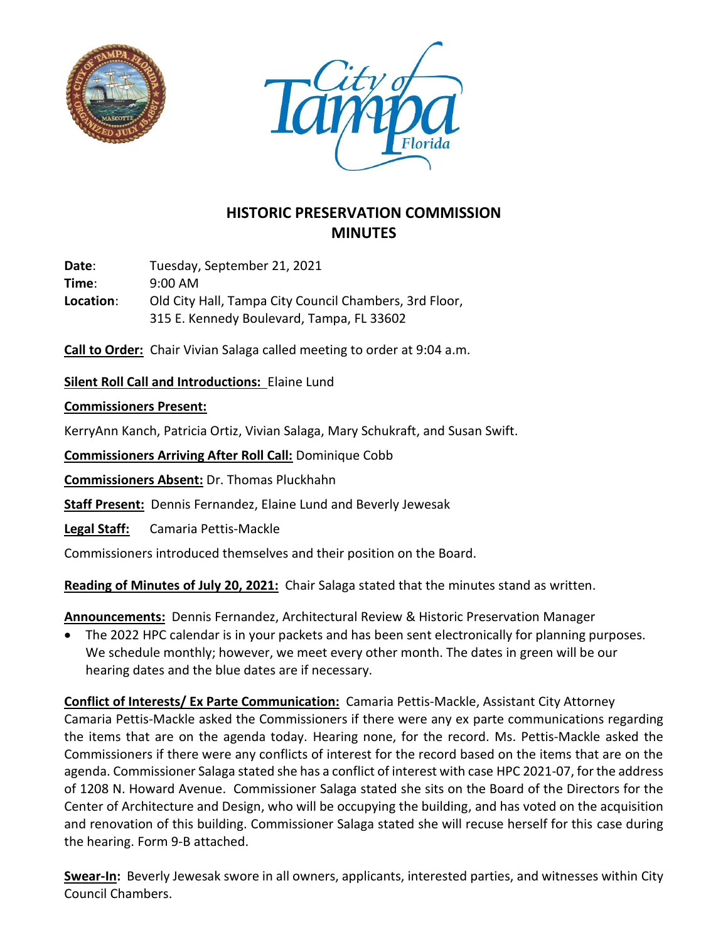



# **HISTORIC PRESERVATION COMMISSION MINUTES**

**Date**: Tuesday, September 21, 2021 **Time**: 9:00 AM **Location**: Old City Hall, Tampa City Council Chambers, 3rd Floor, 315 E. Kennedy Boulevard, Tampa, FL 33602

**Call to Order:** Chair Vivian Salaga called meeting to order at 9:04 a.m.

# **Silent Roll Call and Introductions:** Elaine Lund

#### **Commissioners Present:**

KerryAnn Kanch, Patricia Ortiz, Vivian Salaga, Mary Schukraft, and Susan Swift.

**Commissioners Arriving After Roll Call:** Dominique Cobb

**Commissioners Absent:** Dr. Thomas Pluckhahn

**Staff Present:** Dennis Fernandez, Elaine Lund and Beverly Jewesak

**Legal Staff:** Camaria Pettis-Mackle

Commissioners introduced themselves and their position on the Board.

**Reading of Minutes of July 20, 2021:** Chair Salaga stated that the minutes stand as written.

**Announcements:** Dennis Fernandez, Architectural Review & Historic Preservation Manager

• The 2022 HPC calendar is in your packets and has been sent electronically for planning purposes. We schedule monthly; however, we meet every other month. The dates in green will be our hearing dates and the blue dates are if necessary.

**Conflict of Interests/ Ex Parte Communication:** Camaria Pettis-Mackle, Assistant City Attorney Camaria Pettis-Mackle asked the Commissioners if there were any ex parte communications regarding the items that are on the agenda today. Hearing none, for the record. Ms. Pettis-Mackle asked the Commissioners if there were any conflicts of interest for the record based on the items that are on the agenda. Commissioner Salaga stated she has a conflict of interest with case HPC 2021-07, for the address of 1208 N. Howard Avenue. Commissioner Salaga stated she sits on the Board of the Directors for the Center of Architecture and Design, who will be occupying the building, and has voted on the acquisition and renovation of this building. Commissioner Salaga stated she will recuse herself for this case during the hearing. Form 9-B attached.

**Swear-In:** Beverly Jewesak swore in all owners, applicants, interested parties, and witnesses within City Council Chambers.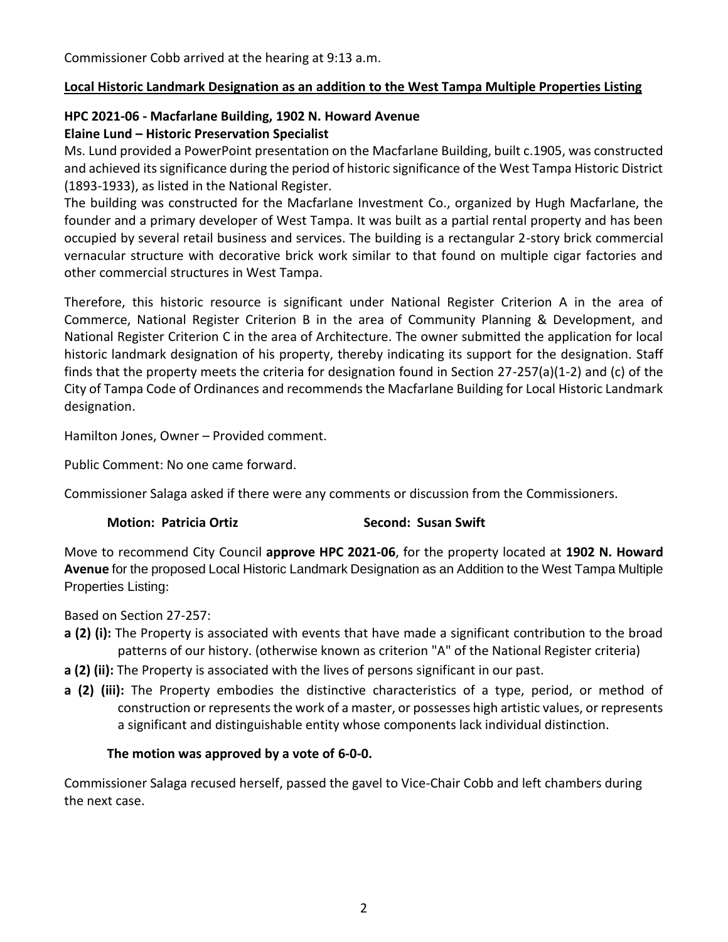### **Local Historic Landmark Designation as an addition to the West Tampa Multiple Properties Listing**

# **HPC 2021-06 - Macfarlane Building, 1902 N. Howard Avenue**

# **Elaine Lund – Historic Preservation Specialist**

Ms. Lund provided a PowerPoint presentation on the Macfarlane Building, built c.1905, was constructed and achieved its significance during the period of historic significance of the West Tampa Historic District (1893-1933), as listed in the National Register.

The building was constructed for the Macfarlane Investment Co., organized by Hugh Macfarlane, the founder and a primary developer of West Tampa. It was built as a partial rental property and has been occupied by several retail business and services. The building is a rectangular 2-story brick commercial vernacular structure with decorative brick work similar to that found on multiple cigar factories and other commercial structures in West Tampa.

Therefore, this historic resource is significant under National Register Criterion A in the area of Commerce, National Register Criterion B in the area of Community Planning & Development, and National Register Criterion C in the area of Architecture. The owner submitted the application for local historic landmark designation of his property, thereby indicating its support for the designation. Staff finds that the property meets the criteria for designation found in Section 27-257(a)(1-2) and (c) of the City of Tampa Code of Ordinances and recommends the Macfarlane Building for Local Historic Landmark designation.

Hamilton Jones, Owner – Provided comment.

Public Comment: No one came forward.

Commissioner Salaga asked if there were any comments or discussion from the Commissioners.

#### **Motion: Patricia Ortiz Second: Susan Swift Susan Swift**

Move to recommend City Council **approve HPC 2021-06**, for the property located at **1902 N. Howard Avenue** for the proposed Local Historic Landmark Designation as an Addition to the West Tampa Multiple Properties Listing:

Based on Section 27-257:

- **a (2) (i):** The Property is associated with events that have made a significant contribution to the broad patterns of our history. (otherwise known as criterion "A" of the National Register criteria)
- **a (2) (ii):** The Property is associated with the lives of persons significant in our past.
- **a (2) (iii):** The Property embodies the distinctive characteristics of a type, period, or method of construction or represents the work of a master, or possesses high artistic values, or represents a significant and distinguishable entity whose components lack individual distinction.

# **The motion was approved by a vote of 6-0-0.**

Commissioner Salaga recused herself, passed the gavel to Vice-Chair Cobb and left chambers during the next case.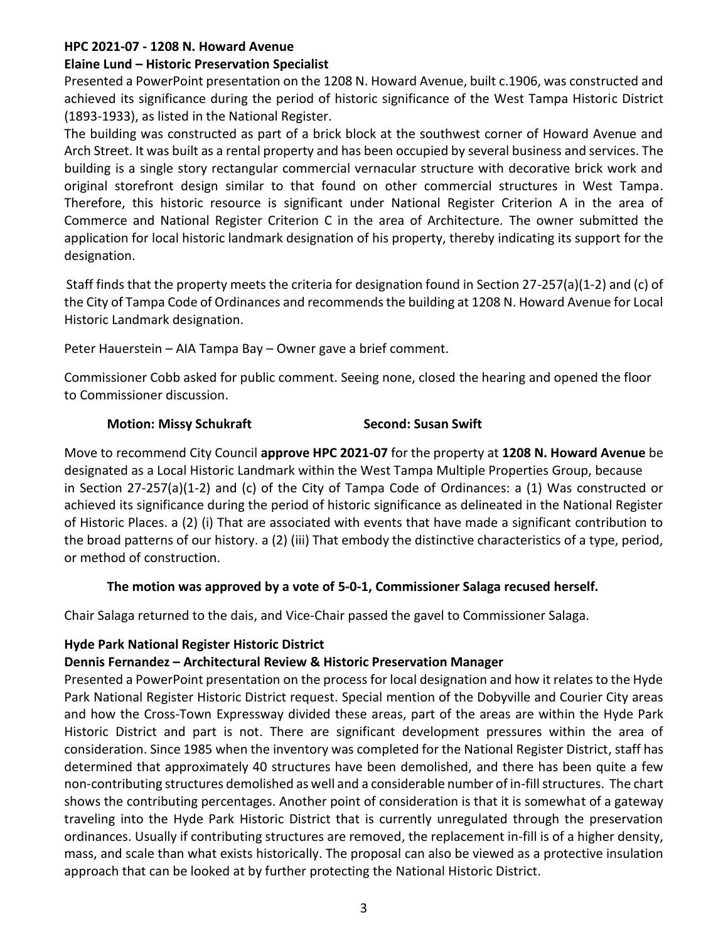#### **HPC 2021-07 - 1208 N. Howard Avenue**

#### **Elaine Lund – Historic Preservation Specialist**

Presented a PowerPoint presentation on the 1208 N. Howard Avenue, built c.1906, was constructed and achieved its significance during the period of historic significance of the West Tampa Historic District (1893-1933), as listed in the National Register.

The building was constructed as part of a brick block at the southwest corner of Howard Avenue and Arch Street. It was built as a rental property and has been occupied by several business and services. The building is a single story rectangular commercial vernacular structure with decorative brick work and original storefront design similar to that found on other commercial structures in West Tampa. Therefore, this historic resource is significant under National Register Criterion A in the area of Commerce and National Register Criterion C in the area of Architecture. The owner submitted the application for local historic landmark designation of his property, thereby indicating its support for the designation.

Staff finds that the property meets the criteria for designation found in Section 27-257(a)(1-2) and (c) of the City of Tampa Code of Ordinances and recommends the building at 1208 N. Howard Avenue for Local Historic Landmark designation.

Peter Hauerstein – AIA Tampa Bay – Owner gave a brief comment.

Commissioner Cobb asked for public comment. Seeing none, closed the hearing and opened the floor to Commissioner discussion.

# **Motion: Missy Schukraft Second: Susan Swift**

Move to recommend City Council **approve HPC 2021-07** for the property at **1208 N. Howard Avenue** be designated as a Local Historic Landmark within the West Tampa Multiple Properties Group, because in Section 27-257(a)(1-2) and (c) of the City of Tampa Code of Ordinances: a (1) Was constructed or achieved its significance during the period of historic significance as delineated in the National Register of Historic Places. a (2) (i) That are associated with events that have made a significant contribution to the broad patterns of our history. a (2) (iii) That embody the distinctive characteristics of a type, period, or method of construction.

#### **The motion was approved by a vote of 5-0-1, Commissioner Salaga recused herself.**

Chair Salaga returned to the dais, and Vice-Chair passed the gavel to Commissioner Salaga.

# **Hyde Park National Register Historic District**

# **Dennis Fernandez – Architectural Review & Historic Preservation Manager**

Presented a PowerPoint presentation on the process for local designation and how it relates to the Hyde Park National Register Historic District request. Special mention of the Dobyville and Courier City areas and how the Cross-Town Expressway divided these areas, part of the areas are within the Hyde Park Historic District and part is not. There are significant development pressures within the area of consideration. Since 1985 when the inventory was completed for the National Register District, staff has determined that approximately 40 structures have been demolished, and there has been quite a few non-contributing structures demolished as well and a considerable number of in-fill structures. The chart shows the contributing percentages. Another point of consideration is that it is somewhat of a gateway traveling into the Hyde Park Historic District that is currently unregulated through the preservation ordinances. Usually if contributing structures are removed, the replacement in-fill is of a higher density, mass, and scale than what exists historically. The proposal can also be viewed as a protective insulation approach that can be looked at by further protecting the National Historic District.